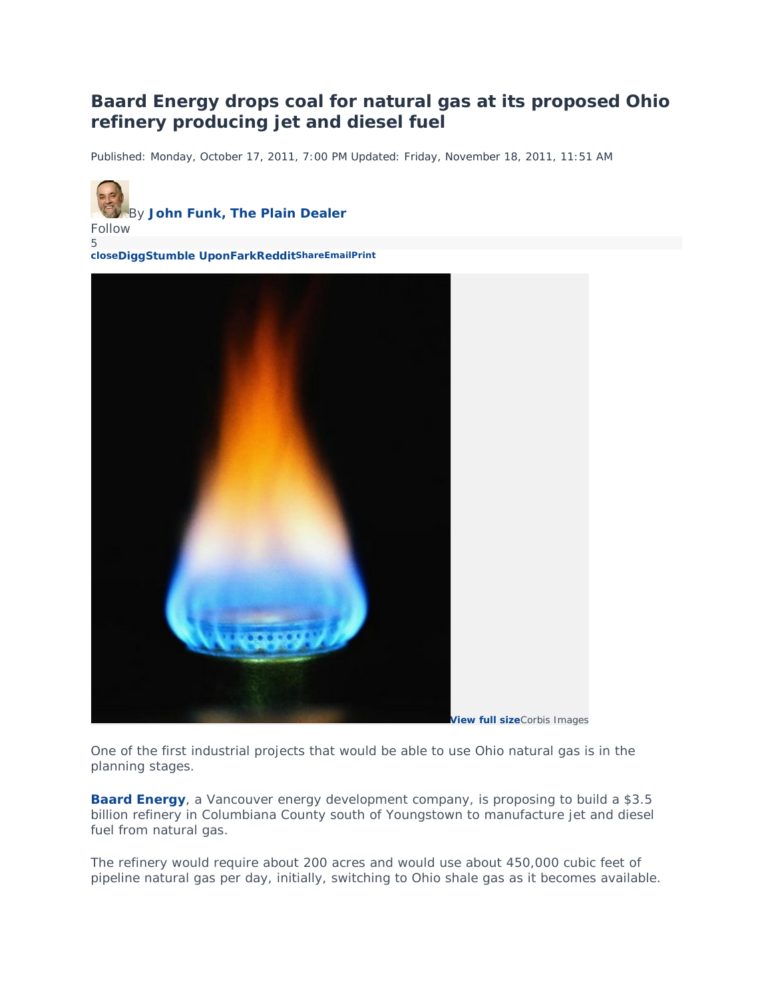## **Baard Energy drops coal for natural gas at its proposed Ohio refinery producing jet and diesel fuel**

Published: Monday, October 17, 2011, 7:00 PM Updated: Friday, November 18, 2011, 11:51 AM





One of the first industrial projects that would be able to use Ohio natural gas is in the planning stages.

**[Baard Energy](http://baardenergy.com/)**, a Vancouver energy development company, is proposing to build a \$3.5 billion refinery in Columbiana County south of Youngstown to manufacture jet and diesel fuel from natural gas.

The refinery would require about 200 acres and would use about 450,000 cubic feet of pipeline natural gas per day, initially, switching to Ohio shale gas as it becomes available.